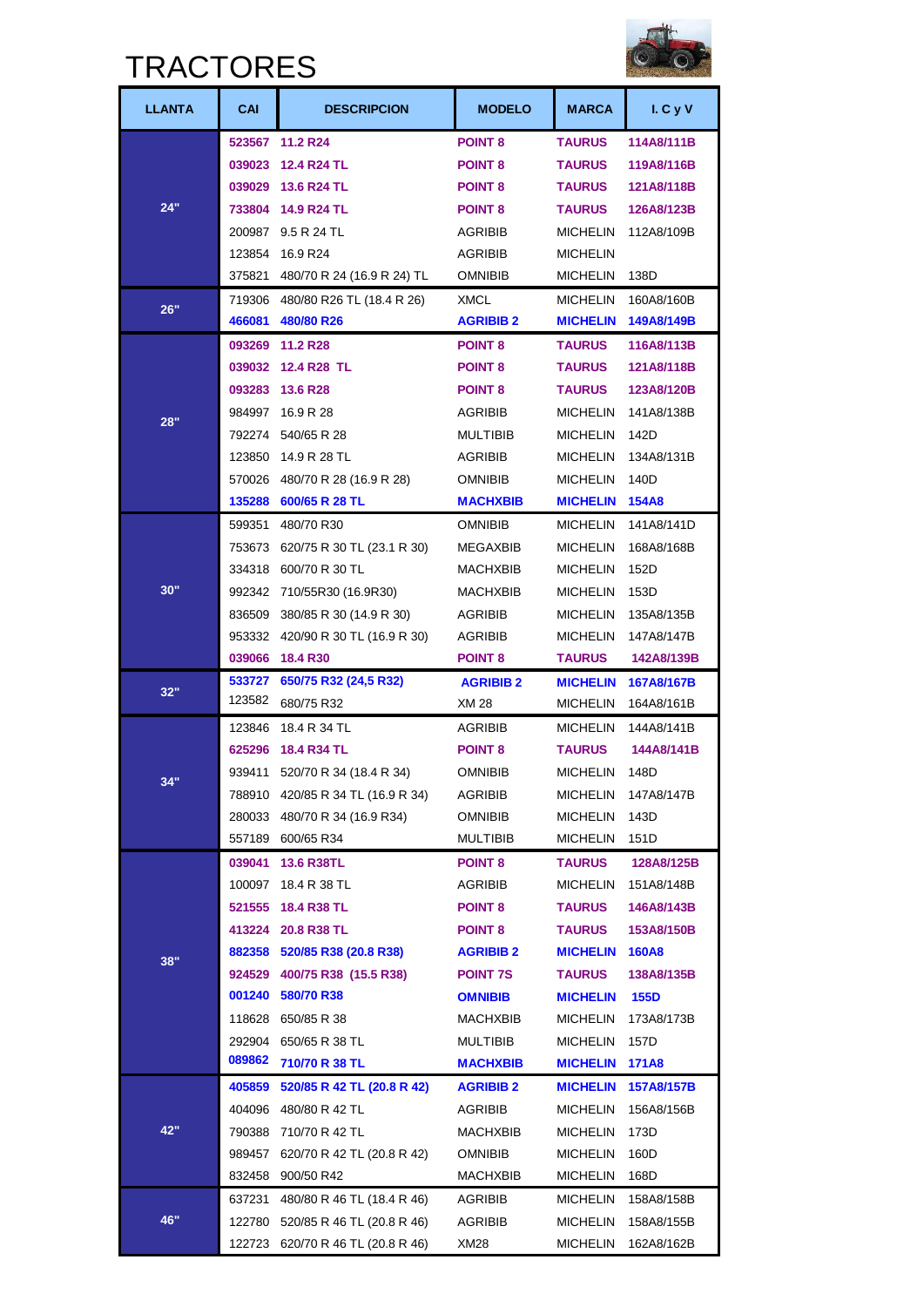### **TDACTODES**



|               | I NAU I UNEJ |                                   |                  |                 |              |  |
|---------------|--------------|-----------------------------------|------------------|-----------------|--------------|--|
| <b>LLANTA</b> | CAI          | <b>DESCRIPCION</b>                | <b>MODELO</b>    | <b>MARCA</b>    | I. C y V     |  |
|               |              | 523567 11.2 R24                   | <b>POINT 8</b>   | <b>TAURUS</b>   | 114A8/111B   |  |
|               | 039023       | <b>12.4 R24 TL</b>                | <b>POINT 8</b>   | <b>TAURUS</b>   | 119A8/116B   |  |
|               |              | 039029 13.6 R24 TL                | <b>POINT 8</b>   | <b>TAURUS</b>   | 121A8/118B   |  |
| 24"           | 733804       | <b>14.9 R24 TL</b>                | <b>POINT 8</b>   | <b>TAURUS</b>   | 126A8/123B   |  |
|               |              | 200987 9.5 R 24 TL                | <b>AGRIBIB</b>   | MICHELIN        | 112A8/109B   |  |
|               | 123854       | 16.9 R24                          | AGRIBIB          | <b>MICHELIN</b> |              |  |
|               | 375821       | 480/70 R 24 (16.9 R 24) TL        | OMNIBIB          | MICHELIN        | 138D         |  |
| 26"           | 719306       | 480/80 R26 TL (18.4 R 26)         | <b>XMCL</b>      | <b>MICHELIN</b> | 160A8/160B   |  |
|               | 466081       | 480/80 R26                        | <b>AGRIBIB 2</b> | <b>MICHELIN</b> | 149A8/149B   |  |
|               |              | 093269 11.2 R28                   | <b>POINT 8</b>   | <b>TAURUS</b>   | 116A8/113B   |  |
|               |              | 039032 12.4 R28 TL                | <b>POINT 8</b>   | <b>TAURUS</b>   | 121A8/118B   |  |
|               |              | 093283 13.6 R28                   | <b>POINT 8</b>   | <b>TAURUS</b>   | 123A8/120B   |  |
| 28"           | 984997       | 16.9 R 28                         | AGRIBIB          | <b>MICHELIN</b> | 141A8/138B   |  |
|               |              | 792274 540/65 R 28                | <b>MULTIBIB</b>  | MICHELIN        | 142D         |  |
|               | 123850       | 14.9 R 28 TL                      | <b>AGRIBIB</b>   | <b>MICHELIN</b> | 134A8/131B   |  |
|               | 570026       | 480/70 R 28 (16.9 R 28)           | <b>OMNIBIB</b>   | MICHELIN        | 140D         |  |
|               |              | 135288 600/65 R 28 TL             | <b>MACHXBIB</b>  | <b>MICHELIN</b> | <b>154A8</b> |  |
|               | 599351       | 480/70 R30                        | <b>OMNIBIB</b>   | MICHELIN        | 141A8/141D   |  |
|               | 753673       | 620/75 R 30 TL (23.1 R 30)        | MEGAXBIB         | MICHELIN        | 168A8/168B   |  |
|               |              | 334318 600/70 R 30 TL             | MACHXBIB         | <b>MICHELIN</b> | 152D         |  |
| 30"           | 992342       | 710/55R30 (16.9R30)               | <b>MACHXBIB</b>  | MICHELIN        | 153D         |  |
|               | 836509       | 380/85 R 30 (14.9 R 30)           | <b>AGRIBIB</b>   | MICHELIN        | 135A8/135B   |  |
|               | 953332       | 420/90 R 30 TL (16.9 R 30)        | AGRIBIB          | MICHELIN        | 147A8/147B   |  |
|               |              | 039066 18.4 R30                   | <b>POINT 8</b>   | TAURUS          | 142A8/139B   |  |
| 32"           | 533727       | 650/75 R32 (24,5 R32)             | <b>AGRIBIB 2</b> | <b>MICHELIN</b> | 167A8/167B   |  |
|               | 123582       | 680/75 R32                        | XM 28            | MICHELIN        | 164A8/161B   |  |
|               | 123846       | 18.4 R 34 TL                      | <b>AGRIBIB</b>   | <b>MICHELIN</b> | 144A8/141B   |  |
|               | 625296       | 18.4 R34 TL                       | <b>POINT 8</b>   | <b>TAURUS</b>   | 144A8/141B   |  |
| 34"           | 939411       | 520/70 R 34 (18.4 R 34)           | omnibib          | <b>MICHELIN</b> | 148D         |  |
|               |              | 788910 420/85 R 34 TL (16.9 R 34) | AGRIBIB          | MICHELIN        | 147A8/147B   |  |
|               |              | 280033 480/70 R 34 (16.9 R34)     | <b>OMNIBIB</b>   | MICHELIN        | 143D         |  |
|               |              | 557189 600/65 R34                 | MULTIBIB         | MICHELIN        | 151D         |  |
|               | 039041       | <b>13.6 R38TL</b>                 | <b>POINT 8</b>   | TAURUS          | 128A8/125B   |  |
|               |              | 100097 18.4 R 38 TL               | AGRIBIB          | MICHELIN        | 151A8/148B   |  |
|               |              | 521555 18.4 R38 TL                | <b>POINT 8</b>   | TAURUS          | 146A8/143B   |  |
|               |              | 413224 20.8 R38 TL                | <b>POINT 8</b>   | <b>TAURUS</b>   | 153A8/150B   |  |
| 38"           |              | 882358 520/85 R38 (20.8 R38)      | <b>AGRIBIB 2</b> | <b>MICHELIN</b> | <b>160A8</b> |  |
|               |              | 924529 400/75 R38 (15.5 R38)      | <b>POINT 7S</b>  | <b>TAURUS</b>   | 138A8/135B   |  |
|               | 001240       | 580/70 R38                        | <b>OMNIBIB</b>   | <b>MICHELIN</b> | <b>155D</b>  |  |
|               |              | 118628 650/85 R 38                | MACHXBIB         | MICHELIN        | 173A8/173B   |  |
|               |              | 292904 650/65 R 38 TL             | <b>MULTIBIB</b>  | MICHELIN        | 157D         |  |
|               | 089862       | 710/70 R 38 TL                    | <b>MACHXBIB</b>  | <b>MICHELIN</b> | <b>171A8</b> |  |
|               | 405859       | 520/85 R 42 TL (20.8 R 42)        | <b>AGRIBIB 2</b> | <b>MICHELIN</b> | 157A8/157B   |  |
|               |              | 404096 480/80 R 42 TL             | AGRIBIB          | MICHELIN        | 156A8/156B   |  |
| 42"           |              | 790388 710/70 R 42 TL             | MACHXBIB         | MICHELIN        | 173D         |  |
|               | 989457       | 620/70 R 42 TL (20.8 R 42)        | OMNIBIB          | MICHELIN        | 160D         |  |
|               |              | 832458 900/50 R42                 | MACHXBIB         | MICHELIN        | 168D         |  |
|               | 637231       | 480/80 R 46 TL (18.4 R 46)        | AGRIBIB          | MICHELIN        | 158A8/158B   |  |
| 46"           | 122780       | 520/85 R 46 TL (20.8 R 46)        | AGRIBIB          | MICHELIN        | 158A8/155B   |  |
|               |              | 122723 620/70 R 46 TL (20.8 R 46) | XM28             | MICHELIN        | 162A8/162B   |  |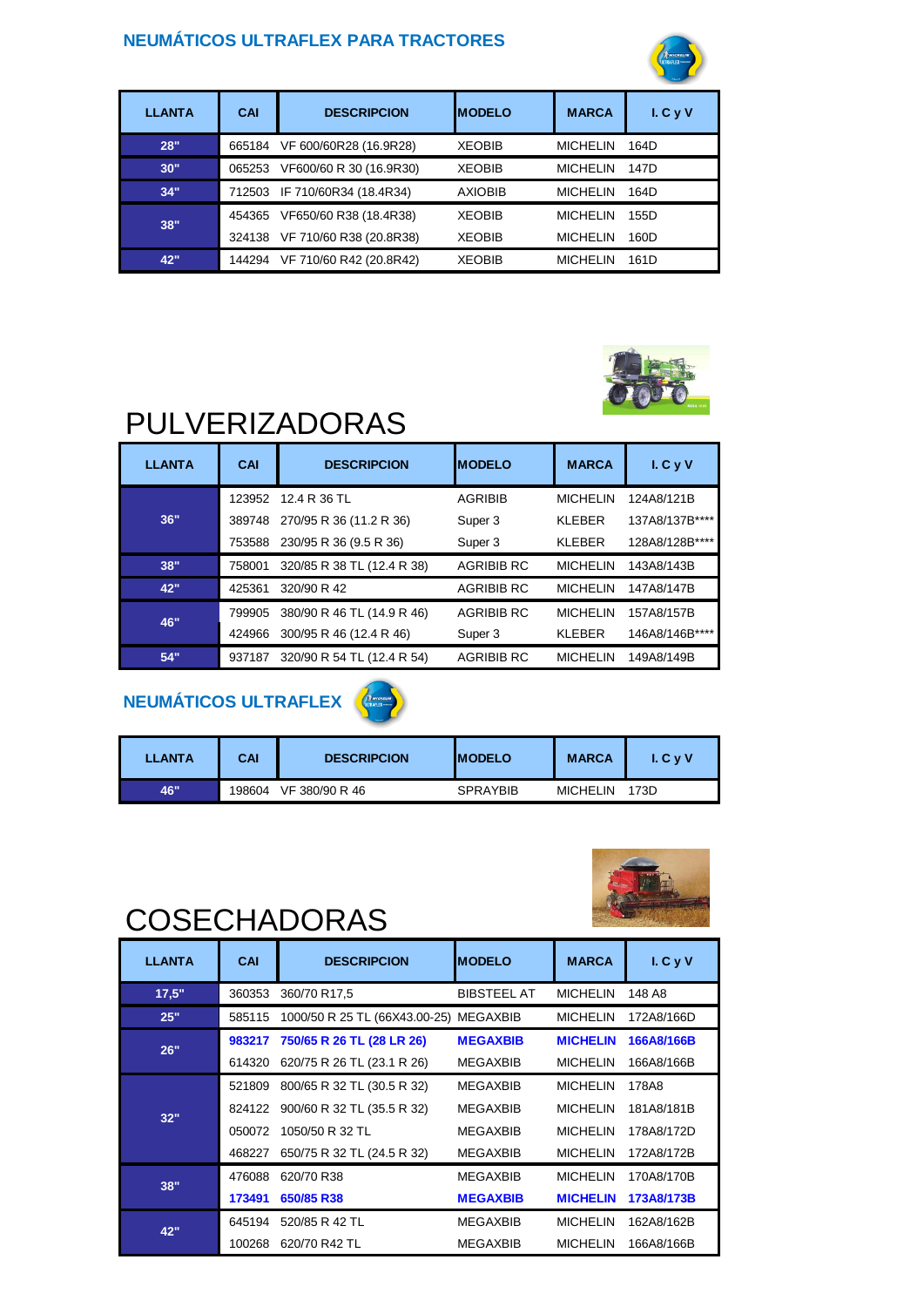#### **NEUMÁTICOS ULTRAFLEX PARA TRACTORES**



| <b>LLANTA</b> | CAI    | <b>DESCRIPCION</b>      | <b>IMODELO</b> | <b>MARCA</b>    | I.CyV |
|---------------|--------|-------------------------|----------------|-----------------|-------|
| 28"           | 665184 | VF 600/60R28 (16.9R28)  | <b>XEOBIB</b>  | <b>MICHELIN</b> | 164D  |
| 30"           | 065253 | VF600/60 R 30 (16.9R30) | <b>XEOBIB</b>  | <b>MICHELIN</b> | 147D  |
| 34"           | 712503 | IF 710/60R34 (18.4R34)  | <b>AXIOBIB</b> | <b>MICHELIN</b> | 164D  |
| 38"           | 454365 | VF650/60 R38 (18.4R38)  | <b>XEOBIB</b>  | <b>MICHELIN</b> | 155D  |
|               | 324138 | VF 710/60 R38 (20.8R38) | <b>XEOBIB</b>  | <b>MICHELIN</b> | 160D  |
| 42"           | 144294 | VF 710/60 R42 (20.8R42) | <b>XEOBIB</b>  | <b>MICHELIN</b> | 161D  |



## PULVERIZADORAS

| <b>LLANTA</b> | CAI    | <b>DESCRIPCION</b>         | <b>IMODELO</b>    | <b>MARCA</b>    | I. C. VV       |
|---------------|--------|----------------------------|-------------------|-----------------|----------------|
|               | 123952 | 12.4 R 36 TL               | <b>AGRIBIB</b>    | <b>MICHELIN</b> | 124A8/121B     |
| 36"           | 389748 | 270/95 R 36 (11.2 R 36)    | Super 3           | <b>KLEBER</b>   | 137A8/137B**** |
|               | 753588 | 230/95 R 36 (9.5 R 36)     | Super 3           | <b>KLEBER</b>   | 128A8/128B**** |
| 38"           | 758001 | 320/85 R 38 TL (12.4 R 38) | <b>AGRIBIB RC</b> | <b>MICHELIN</b> | 143A8/143B     |
| 42"           | 425361 | 320/90 R 42                | <b>AGRIBIB RC</b> | <b>MICHELIN</b> | 147A8/147B     |
| 46"           | 799905 | 380/90 R 46 TL (14.9 R 46) | <b>AGRIBIB RC</b> | <b>MICHELIN</b> | 157A8/157B     |
|               | 424966 | 300/95 R 46 (12.4 R 46)    | Super 3           | <b>KLEBER</b>   | 146A8/146B**** |
| 54"           | 937187 | 320/90 R 54 TL (12.4 R 54) | <b>AGRIBIB RC</b> | <b>MICHELIN</b> | 149A8/149B     |

### **NEUMÁTICOS ULTRAFLEX**



| <b>LLANTA</b> | CAI    | <b>DESCRIPCION</b> | <b>IMODELO</b>  | <b>MARCA</b>    | $L$ C y V |
|---------------|--------|--------------------|-----------------|-----------------|-----------|
| 46"           | 198604 | VF 380/90 R 46     | <b>SPRAYBIB</b> | <b>MICHELIN</b> | 173D      |



## **COSECHADORAS**

| <b>LLANTA</b> | <b>CAI</b> | <b>DESCRIPCION</b>                     | <b>IMODELO</b>     | <b>MARCA</b>    | I. C. VV   |
|---------------|------------|----------------------------------------|--------------------|-----------------|------------|
| 17.5"         | 360353     | 360/70 R17,5                           | <b>BIBSTEEL AT</b> | <b>MICHELIN</b> | 148 A8     |
| 25"           | 585115     | 1000/50 R 25 TL (66X43.00-25) MEGAXBIB |                    | <b>MICHELIN</b> | 172A8/166D |
| 26"           | 983217     | 750/65 R 26 TL (28 LR 26)              | <b>MEGAXBIB</b>    | <b>MICHELIN</b> | 166A8/166B |
|               | 614320     | 620/75 R 26 TL (23.1 R 26)             | <b>MEGAXBIB</b>    | <b>MICHELIN</b> | 166A8/166B |
|               | 521809     | 800/65 R 32 TL (30.5 R 32)             | <b>MEGAXBIB</b>    | <b>MICHELIN</b> | 178A8      |
| 32"           | 824122     | 900/60 R 32 TL (35.5 R 32)             | <b>MEGAXBIB</b>    | <b>MICHELIN</b> | 181A8/181B |
|               | 050072     | 1050/50 R 32 TL                        | <b>MEGAXBIB</b>    | <b>MICHELIN</b> | 178A8/172D |
|               | 468227     | 650/75 R 32 TL (24.5 R 32)             | <b>MEGAXBIB</b>    | <b>MICHELIN</b> | 172A8/172B |
| 38"           | 476088     | 620/70 R38                             | <b>MEGAXBIB</b>    | <b>MICHELIN</b> | 170A8/170B |
|               | 173491     | 650/85 R38                             | <b>MEGAXBIB</b>    | <b>MICHELIN</b> | 173A8/173B |
| 42"           | 645194     | 520/85 R 42 TL                         | <b>MEGAXBIB</b>    | <b>MICHELIN</b> | 162A8/162B |
|               | 100268     | 620/70 R42 TL                          | <b>MEGAXBIB</b>    | <b>MICHELIN</b> | 166A8/166B |